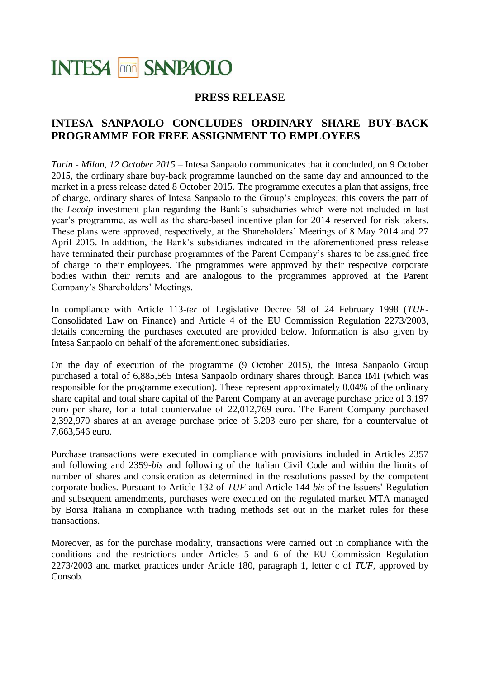# **INTESA MM SANPAOLO**

### **PRESS RELEASE**

## **INTESA SANPAOLO CONCLUDES ORDINARY SHARE BUY-BACK PROGRAMME FOR FREE ASSIGNMENT TO EMPLOYEES**

*Turin - Milan, 12 October 2015* – Intesa Sanpaolo communicates that it concluded, on 9 October 2015, the ordinary share buy-back programme launched on the same day and announced to the market in a press release dated 8 October 2015. The programme executes a plan that assigns, free of charge, ordinary shares of Intesa Sanpaolo to the Group's employees; this covers the part of the *Lecoip* investment plan regarding the Bank's subsidiaries which were not included in last year's programme, as well as the share-based incentive plan for 2014 reserved for risk takers. These plans were approved, respectively, at the Shareholders' Meetings of 8 May 2014 and 27 April 2015. In addition, the Bank's subsidiaries indicated in the aforementioned press release have terminated their purchase programmes of the Parent Company's shares to be assigned free of charge to their employees. The programmes were approved by their respective corporate bodies within their remits and are analogous to the programmes approved at the Parent Company's Shareholders' Meetings.

In compliance with Article 113-*ter* of Legislative Decree 58 of 24 February 1998 (*TUF*-Consolidated Law on Finance) and Article 4 of the EU Commission Regulation 2273/2003, details concerning the purchases executed are provided below. Information is also given by Intesa Sanpaolo on behalf of the aforementioned subsidiaries.

On the day of execution of the programme (9 October 2015), the Intesa Sanpaolo Group purchased a total of 6,885,565 Intesa Sanpaolo ordinary shares through Banca IMI (which was responsible for the programme execution). These represent approximately 0.04% of the ordinary share capital and total share capital of the Parent Company at an average purchase price of 3.197 euro per share, for a total countervalue of 22,012,769 euro. The Parent Company purchased 2,392,970 shares at an average purchase price of 3.203 euro per share, for a countervalue of 7,663,546 euro.

Purchase transactions were executed in compliance with provisions included in Articles 2357 and following and 2359-*bis* and following of the Italian Civil Code and within the limits of number of shares and consideration as determined in the resolutions passed by the competent corporate bodies. Pursuant to Article 132 of *TUF* and Article 144-*bis* of the Issuers' Regulation and subsequent amendments, purchases were executed on the regulated market MTA managed by Borsa Italiana in compliance with trading methods set out in the market rules for these transactions.

Moreover, as for the purchase modality, transactions were carried out in compliance with the conditions and the restrictions under Articles 5 and 6 of the EU Commission Regulation 2273/2003 and market practices under Article 180, paragraph 1, letter c of *TUF*, approved by Consob.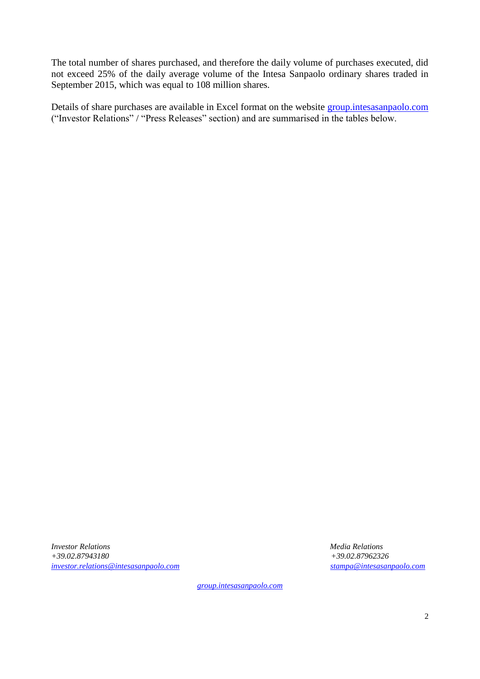The total number of shares purchased, and therefore the daily volume of purchases executed, did not exceed 25% of the daily average volume of the Intesa Sanpaolo ordinary shares traded in September 2015, which was equal to 108 million shares.

Details of share purchases are available in Excel format on the website [group.intesasanpaolo.com](http://www.group.intesasanpaolo.com/scriptIsir0/si09/investor_relations/eng_comunicati_stampa_price.jsp) ("Investor Relations" / "Press Releases" section) and are summarised in the tables below.

*Investor Relations Media Relations +39.02.87943180 +39.02.87962326 [investor.relations@intesasanpaolo.com](mailto:investor.relations@intesasanpaolo.com) [stampa@intesasanpaolo.com](mailto:stampa@intesasanpaolo.com)*

*[group.intesasanpaolo.com](http://www.group.intesasanpaolo.com/scriptIsir0/si09/eng_index.jsp)*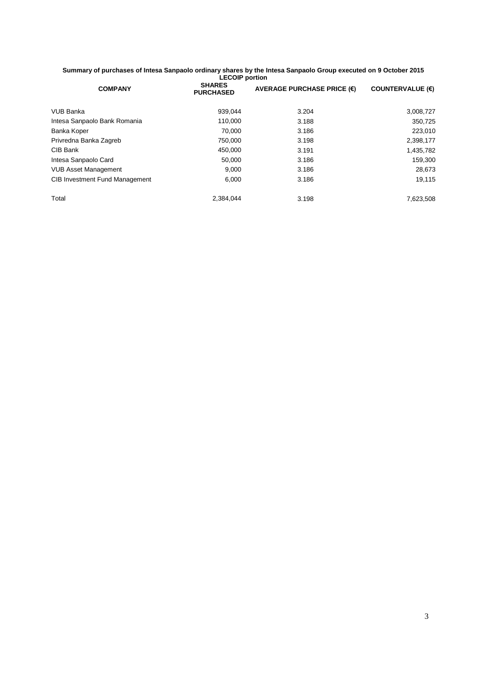#### **Summary of purchases of Intesa Sanpaolo ordinary shares by the Intesa Sanpaolo Group executed on 9 October 2015 LECOIP portion**

| <b>COMPANY</b>                        | <b>SHARES</b><br><b>PURCHASED</b> | AVERAGE PURCHASE PRICE $(\epsilon)$ | <b>COUNTERVALUE (€)</b> |
|---------------------------------------|-----------------------------------|-------------------------------------|-------------------------|
| <b>VUB Banka</b>                      | 939.044                           | 3.204                               | 3,008,727               |
| Intesa Sanpaolo Bank Romania          | 110.000                           | 3.188                               | 350,725                 |
| Banka Koper                           | 70.000                            | 3.186                               | 223,010                 |
| Privredna Banka Zagreb                | 750.000                           | 3.198                               | 2,398,177               |
| CIB Bank                              | 450.000                           | 3.191                               | 1,435,782               |
| Intesa Sanpaolo Card                  | 50.000                            | 3.186                               | 159,300                 |
| <b>VUB Asset Management</b>           | 9.000                             | 3.186                               | 28,673                  |
| <b>CIB Investment Fund Management</b> | 6,000                             | 3.186                               | 19,115                  |
| Total                                 | 2.384.044                         | 3.198                               | 7,623,508               |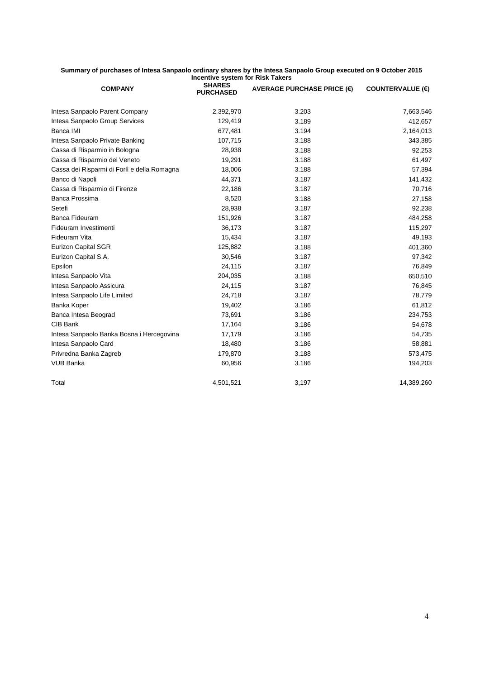#### **Summary of purchases of Intesa Sanpaolo ordinary shares by the Intesa Sanpaolo Group executed on 9 October 2015 Incentive system for Risk Takers**

| <b>COMPANY</b>                              | <b>SHARES</b><br><b>PURCHASED</b> | AVERAGE PURCHASE PRICE $(\epsilon)$ | <b>COUNTERVALUE (€)</b> |
|---------------------------------------------|-----------------------------------|-------------------------------------|-------------------------|
| Intesa Sanpaolo Parent Company              | 2,392,970                         | 3.203                               | 7,663,546               |
| Intesa Sanpaolo Group Services              | 129,419                           | 3.189                               | 412,657                 |
| Banca IMI                                   | 677,481                           | 3.194                               | 2,164,013               |
| Intesa Sanpaolo Private Banking             | 107,715                           | 3.188                               | 343,385                 |
| Cassa di Risparmio in Bologna               | 28,938                            | 3.188                               | 92,253                  |
| Cassa di Risparmio del Veneto               | 19,291                            | 3.188                               | 61,497                  |
| Cassa dei Risparmi di Forlì e della Romagna | 18,006                            | 3.188                               | 57,394                  |
| Banco di Napoli                             | 44,371                            | 3.187                               | 141,432                 |
| Cassa di Risparmio di Firenze               | 22,186                            | 3.187                               | 70,716                  |
| Banca Prossima                              | 8,520                             | 3.188                               | 27,158                  |
| Setefi                                      | 28,938                            | 3.187                               | 92,238                  |
| Banca Fideuram                              | 151,926                           | 3.187                               | 484,258                 |
| Fideuram Investimenti                       | 36,173                            | 3.187                               | 115,297                 |
| Fideuram Vita                               | 15,434                            | 3.187                               | 49,193                  |
| <b>Eurizon Capital SGR</b>                  | 125,882                           | 3.188                               | 401,360                 |
| Eurizon Capital S.A.                        | 30,546                            | 3.187                               | 97,342                  |
| Epsilon                                     | 24,115                            | 3.187                               | 76,849                  |
| Intesa Sanpaolo Vita                        | 204,035                           | 3.188                               | 650,510                 |
| Intesa Sanpaolo Assicura                    | 24,115                            | 3.187                               | 76,845                  |
| Intesa Sanpaolo Life Limited                | 24,718                            | 3.187                               | 78,779                  |
| Banka Koper                                 | 19,402                            | 3.186                               | 61,812                  |
| Banca Intesa Beograd                        | 73,691                            | 3.186                               | 234,753                 |
| CIB Bank                                    | 17,164                            | 3.186                               | 54,678                  |
| Intesa Sanpaolo Banka Bosna i Hercegovina   | 17,179                            | 3.186                               | 54,735                  |
| Intesa Sanpaolo Card                        | 18,480                            | 3.186                               | 58,881                  |
| Privredna Banka Zagreb                      | 179,870                           | 3.188                               | 573,475                 |
| <b>VUB Banka</b>                            | 60,956                            | 3.186                               | 194,203                 |
| Total                                       | 4,501,521                         | 3,197                               | 14,389,260              |